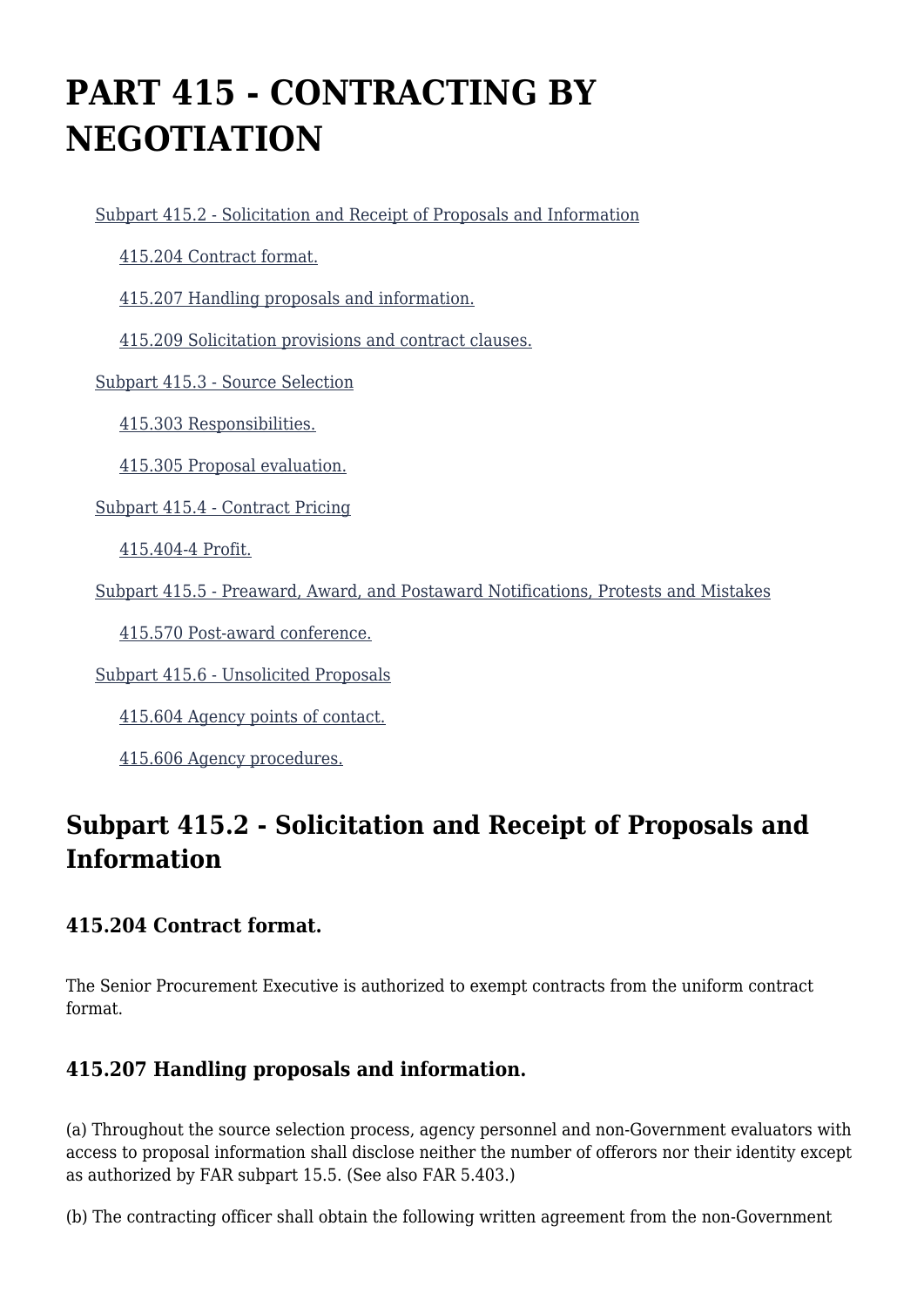# **PART 415 - CONTRACTING BY NEGOTIATION**

[Subpart 415.2 - Solicitation and Receipt of Proposals and Information](https://origin-www.acquisition.gov/%5Brp:link:agar-part-415%5D#Subpart_415_2_T48_40213161)

[415.204 Contract format.](https://origin-www.acquisition.gov/%5Brp:link:agar-part-415%5D#Section_415_204_T48_4021316111)

[415.207 Handling proposals and information.](https://origin-www.acquisition.gov/%5Brp:link:agar-part-415%5D#Section_415_207_T48_4021316112)

[415.209 Solicitation provisions and contract clauses.](https://origin-www.acquisition.gov/%5Brp:link:agar-part-415%5D#Section_415_209_T48_4021316113)

[Subpart 415.3 - Source Selection](https://origin-www.acquisition.gov/%5Brp:link:agar-part-415%5D#Subpart_415_3_T48_40213162)

[415.303 Responsibilities.](https://origin-www.acquisition.gov/%5Brp:link:agar-part-415%5D#Section_415_303_T48_4021316211)

[415.305 Proposal evaluation.](https://origin-www.acquisition.gov/%5Brp:link:agar-part-415%5D#Section_415_305_T48_4021316212)

[Subpart 415.4 - Contract Pricing](https://origin-www.acquisition.gov/%5Brp:link:agar-part-415%5D#Subpart_415_4_T48_40213163)

[415.404-4 Profit.](https://origin-www.acquisition.gov/%5Brp:link:agar-part-415%5D#Section_415_404_4_T48_4021316311)

[Subpart 415.5 - Preaward, Award, and Postaward Notifications, Protests and Mistakes](https://origin-www.acquisition.gov/%5Brp:link:agar-part-415%5D#Subpart_415_5_T48_40213164)

[415.570 Post-award conference.](https://origin-www.acquisition.gov/%5Brp:link:agar-part-415%5D#Section_415_570_T48_4021316411)

[Subpart 415.6 - Unsolicited Proposals](https://origin-www.acquisition.gov/%5Brp:link:agar-part-415%5D#Subpart_415_6_T48_40213165)

[415.604 Agency points of contact.](https://origin-www.acquisition.gov/%5Brp:link:agar-part-415%5D#Section_415_604_T48_4021316511)

[415.606 Agency procedures.](https://origin-www.acquisition.gov/%5Brp:link:agar-part-415%5D#Section_415_606_T48_4021316512)

### **Subpart 415.2 - Solicitation and Receipt of Proposals and Information**

### **415.204 Contract format.**

The Senior Procurement Executive is authorized to exempt contracts from the uniform contract format.

### **415.207 Handling proposals and information.**

(a) Throughout the source selection process, agency personnel and non-Government evaluators with access to proposal information shall disclose neither the number of offerors nor their identity except as authorized by FAR subpart 15.5. (See also FAR 5.403.)

(b) The contracting officer shall obtain the following written agreement from the non-Government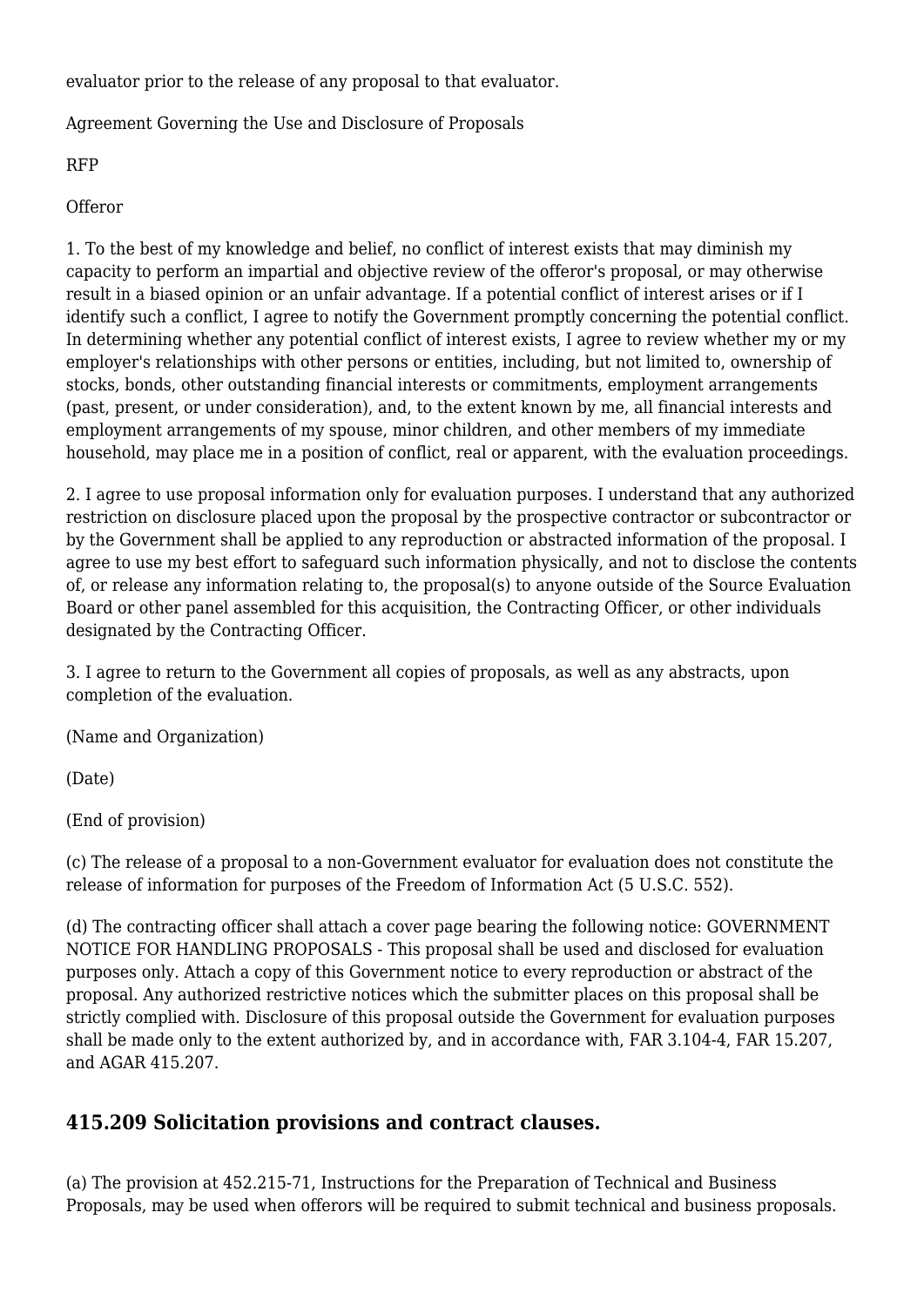evaluator prior to the release of any proposal to that evaluator.

Agreement Governing the Use and Disclosure of Proposals

RFP

**Offeror** 

1. To the best of my knowledge and belief, no conflict of interest exists that may diminish my capacity to perform an impartial and objective review of the offeror's proposal, or may otherwise result in a biased opinion or an unfair advantage. If a potential conflict of interest arises or if I identify such a conflict, I agree to notify the Government promptly concerning the potential conflict. In determining whether any potential conflict of interest exists, I agree to review whether my or my employer's relationships with other persons or entities, including, but not limited to, ownership of stocks, bonds, other outstanding financial interests or commitments, employment arrangements (past, present, or under consideration), and, to the extent known by me, all financial interests and employment arrangements of my spouse, minor children, and other members of my immediate household, may place me in a position of conflict, real or apparent, with the evaluation proceedings.

2. I agree to use proposal information only for evaluation purposes. I understand that any authorized restriction on disclosure placed upon the proposal by the prospective contractor or subcontractor or by the Government shall be applied to any reproduction or abstracted information of the proposal. I agree to use my best effort to safeguard such information physically, and not to disclose the contents of, or release any information relating to, the proposal(s) to anyone outside of the Source Evaluation Board or other panel assembled for this acquisition, the Contracting Officer, or other individuals designated by the Contracting Officer.

3. I agree to return to the Government all copies of proposals, as well as any abstracts, upon completion of the evaluation.

(Name and Organization)

(Date)

(End of provision)

(c) The release of a proposal to a non-Government evaluator for evaluation does not constitute the release of information for purposes of the Freedom of Information Act (5 U.S.C. 552).

(d) The contracting officer shall attach a cover page bearing the following notice: GOVERNMENT NOTICE FOR HANDLING PROPOSALS - This proposal shall be used and disclosed for evaluation purposes only. Attach a copy of this Government notice to every reproduction or abstract of the proposal. Any authorized restrictive notices which the submitter places on this proposal shall be strictly complied with. Disclosure of this proposal outside the Government for evaluation purposes shall be made only to the extent authorized by, and in accordance with, FAR 3.104-4, FAR 15.207, and AGAR 415.207.

### **415.209 Solicitation provisions and contract clauses.**

(a) The provision at 452.215-71, Instructions for the Preparation of Technical and Business Proposals, may be used when offerors will be required to submit technical and business proposals.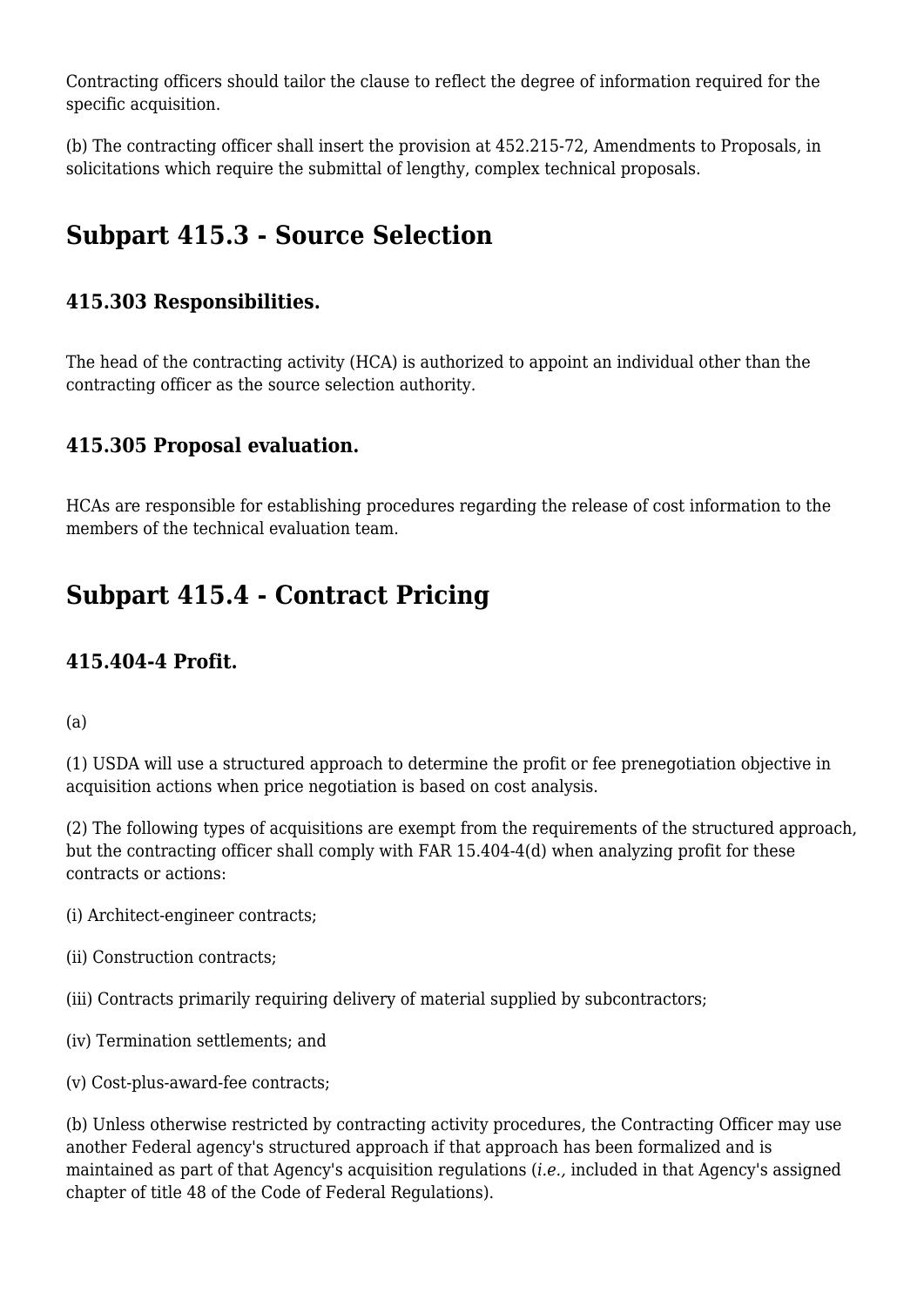Contracting officers should tailor the clause to reflect the degree of information required for the specific acquisition.

(b) The contracting officer shall insert the provision at 452.215-72, Amendments to Proposals, in solicitations which require the submittal of lengthy, complex technical proposals.

# **Subpart 415.3 - Source Selection**

### **415.303 Responsibilities.**

The head of the contracting activity (HCA) is authorized to appoint an individual other than the contracting officer as the source selection authority.

### **415.305 Proposal evaluation.**

HCAs are responsible for establishing procedures regarding the release of cost information to the members of the technical evaluation team.

# **Subpart 415.4 - Contract Pricing**

### **415.404-4 Profit.**

(a)

(1) USDA will use a structured approach to determine the profit or fee prenegotiation objective in acquisition actions when price negotiation is based on cost analysis.

(2) The following types of acquisitions are exempt from the requirements of the structured approach, but the contracting officer shall comply with FAR 15.404-4(d) when analyzing profit for these contracts or actions:

- (i) Architect-engineer contracts;
- (ii) Construction contracts;
- (iii) Contracts primarily requiring delivery of material supplied by subcontractors;
- (iv) Termination settlements; and
- (v) Cost-plus-award-fee contracts;

(b) Unless otherwise restricted by contracting activity procedures, the Contracting Officer may use another Federal agency's structured approach if that approach has been formalized and is maintained as part of that Agency's acquisition regulations (*i.e.,* included in that Agency's assigned chapter of title 48 of the Code of Federal Regulations).